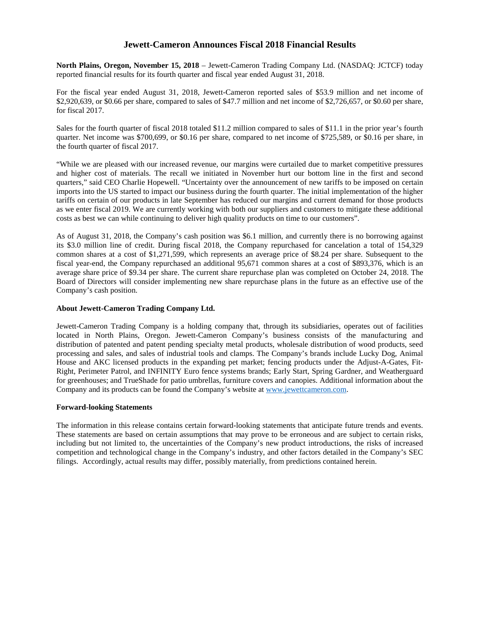# **Jewett-Cameron Announces Fiscal 2018 Financial Results**

**North Plains, Oregon, November 15, 2018** – Jewett-Cameron Trading Company Ltd. (NASDAQ: JCTCF) today reported financial results for its fourth quarter and fiscal year ended August 31, 2018.

For the fiscal year ended August 31, 2018, Jewett-Cameron reported sales of \$53.9 million and net income of \$2,920,639, or \$0.66 per share, compared to sales of \$47.7 million and net income of \$2,726,657, or \$0.60 per share, for fiscal 2017.

Sales for the fourth quarter of fiscal 2018 totaled \$11.2 million compared to sales of \$11.1 in the prior year's fourth quarter. Net income was \$700,699, or \$0.16 per share, compared to net income of \$725,589, or \$0.16 per share, in the fourth quarter of fiscal 2017.

"While we are pleased with our increased revenue, our margins were curtailed due to market competitive pressures and higher cost of materials. The recall we initiated in November hurt our bottom line in the first and second quarters," said CEO Charlie Hopewell. "Uncertainty over the announcement of new tariffs to be imposed on certain imports into the US started to impact our business during the fourth quarter. The initial implementation of the higher tariffs on certain of our products in late September has reduced our margins and current demand for those products as we enter fiscal 2019. We are currently working with both our suppliers and customers to mitigate these additional costs as best we can while continuing to deliver high quality products on time to our customers".

As of August 31, 2018, the Company's cash position was \$6.1 million, and currently there is no borrowing against its \$3.0 million line of credit. During fiscal 2018, the Company repurchased for cancelation a total of 154,329 common shares at a cost of \$1,271,599, which represents an average price of \$8.24 per share. Subsequent to the fiscal year-end, the Company repurchased an additional 95,671 common shares at a cost of \$893,376, which is an average share price of \$9.34 per share. The current share repurchase plan was completed on October 24, 2018. The Board of Directors will consider implementing new share repurchase plans in the future as an effective use of the Company's cash position.

## **About Jewett-Cameron Trading Company Ltd.**

Jewett-Cameron Trading Company is a holding company that, through its subsidiaries, operates out of facilities located in North Plains, Oregon. Jewett-Cameron Company's business consists of the manufacturing and distribution of patented and patent pending specialty metal products, wholesale distribution of wood products, seed processing and sales, and sales of industrial tools and clamps. The Company's brands include Lucky Dog, Animal House and AKC licensed products in the expanding pet market; fencing products under the Adjust-A-Gates, Fit-Right, Perimeter Patrol, and INFINITY Euro fence systems brands; Early Start, Spring Gardner, and Weatherguard for greenhouses; and TrueShade for patio umbrellas, furniture covers and canopies. Additional information about the Company and its products can be found the Company's website at [www.jewettcameron.com](http://www.jewettcameron.com/).

#### **Forward-looking Statements**

The information in this release contains certain forward-looking statements that anticipate future trends and events. These statements are based on certain assumptions that may prove to be erroneous and are subject to certain risks, including but not limited to, the uncertainties of the Company's new product introductions, the risks of increased competition and technological change in the Company's industry, and other factors detailed in the Company's SEC filings. Accordingly, actual results may differ, possibly materially, from predictions contained herein.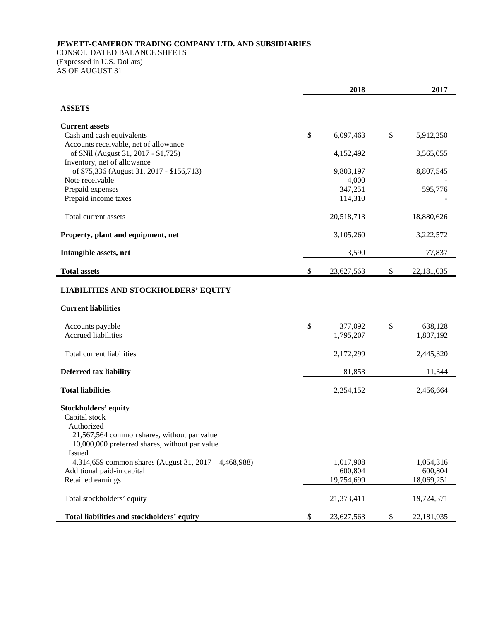## **JEWETT-CAMERON TRADING COMPANY LTD. AND SUBSIDIARIES** CONSOLIDATED BALANCE SHEETS (Expressed in U.S. Dollars) AS OF AUGUST 31

|                                                              | 2018 | 2017                  |    |                       |
|--------------------------------------------------------------|------|-----------------------|----|-----------------------|
| <b>ASSETS</b>                                                |      |                       |    |                       |
| <b>Current assets</b>                                        |      |                       |    |                       |
| Cash and cash equivalents                                    | \$   | 6,097,463             | \$ | 5,912,250             |
| Accounts receivable, net of allowance                        |      |                       |    |                       |
| of \$Nil (August 31, 2017 - \$1,725)                         |      | 4,152,492             |    | 3,565,055             |
| Inventory, net of allowance                                  |      |                       |    |                       |
| of \$75,336 (August 31, 2017 - \$156,713)<br>Note receivable |      | 9,803,197<br>4,000    |    | 8,807,545             |
| Prepaid expenses                                             |      | 347,251               |    | 595,776               |
| Prepaid income taxes                                         |      | 114,310               |    |                       |
|                                                              |      |                       |    |                       |
| Total current assets                                         |      | 20,518,713            |    | 18,880,626            |
|                                                              |      |                       |    |                       |
| Property, plant and equipment, net                           |      | 3,105,260             |    | 3,222,572             |
| Intangible assets, net                                       |      | 3,590                 |    | 77,837                |
|                                                              |      |                       |    |                       |
| <b>Total assets</b>                                          | \$   | 23,627,563            | \$ | 22,181,035            |
| <b>LIABILITIES AND STOCKHOLDERS' EQUITY</b>                  |      |                       |    |                       |
|                                                              |      |                       |    |                       |
| <b>Current liabilities</b>                                   |      |                       |    |                       |
| Accounts payable                                             | $\$$ | 377,092               | \$ | 638,128               |
| <b>Accrued liabilities</b>                                   |      | 1,795,207             |    | 1,807,192             |
|                                                              |      |                       |    |                       |
| Total current liabilities                                    |      | 2,172,299             |    | 2,445,320             |
|                                                              |      |                       |    |                       |
| <b>Deferred tax liability</b>                                |      | 81,853                |    | 11,344                |
| <b>Total liabilities</b>                                     |      | 2,254,152             |    | 2,456,664             |
| <b>Stockholders' equity</b>                                  |      |                       |    |                       |
| Capital stock                                                |      |                       |    |                       |
| Authorized                                                   |      |                       |    |                       |
| 21,567,564 common shares, without par value                  |      |                       |    |                       |
| 10,000,000 preferred shares, without par value               |      |                       |    |                       |
| Issued                                                       |      |                       |    |                       |
| 4,314,659 common shares (August 31, 2017 – 4,468,988)        |      | 1,017,908             |    | 1,054,316             |
| Additional paid-in capital<br>Retained earnings              |      | 600,804<br>19,754,699 |    | 600,804<br>18,069,251 |
|                                                              |      |                       |    |                       |
| Total stockholders' equity                                   |      | 21,373,411            |    | 19,724,371            |
|                                                              |      |                       |    |                       |
| Total liabilities and stockholders' equity                   | \$   | 23,627,563            | \$ | 22,181,035            |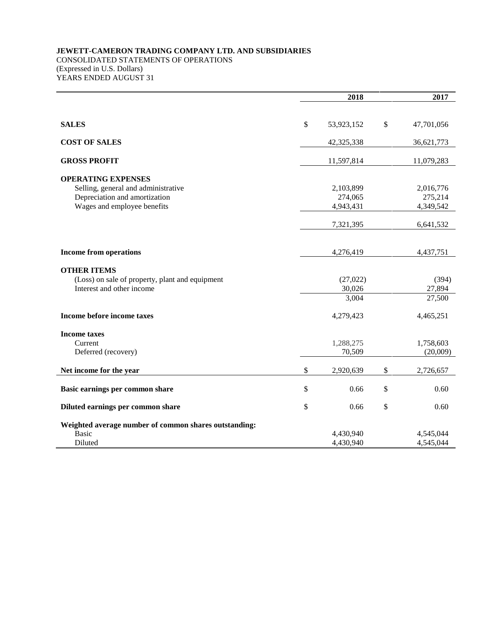## **JEWETT-CAMERON TRADING COMPANY LTD. AND SUBSIDIARIES** CONSOLIDATED STATEMENTS OF OPERATIONS (Expressed in U.S. Dollars) YEARS ENDED AUGUST 31

|                                                       | 2018             | 2017       |            |  |
|-------------------------------------------------------|------------------|------------|------------|--|
|                                                       |                  |            |            |  |
| <b>SALES</b>                                          | \$<br>53,923,152 | \$         | 47,701,056 |  |
| <b>COST OF SALES</b>                                  | 42,325,338       | 36,621,773 |            |  |
| <b>GROSS PROFIT</b>                                   | 11,597,814       | 11,079,283 |            |  |
| <b>OPERATING EXPENSES</b>                             |                  |            |            |  |
| Selling, general and administrative                   | 2,103,899        |            | 2,016,776  |  |
| Depreciation and amortization                         | 274,065          | 275,214    |            |  |
| Wages and employee benefits                           | 4,943,431        | 4,349,542  |            |  |
|                                                       | 7,321,395        |            | 6,641,532  |  |
|                                                       |                  |            |            |  |
| <b>Income from operations</b>                         | 4,276,419        |            | 4,437,751  |  |
| <b>OTHER ITEMS</b>                                    |                  |            |            |  |
| (Loss) on sale of property, plant and equipment       | (27, 022)        |            | (394)      |  |
| Interest and other income                             | 30,026           |            | 27,894     |  |
|                                                       | 3,004            | 27,500     |            |  |
| Income before income taxes                            | 4,279,423        | 4,465,251  |            |  |
| <b>Income taxes</b>                                   |                  |            |            |  |
| Current                                               | 1,288,275        |            | 1,758,603  |  |
| Deferred (recovery)                                   | 70,509           | (20,009)   |            |  |
| Net income for the year                               | \$<br>2,920,639  | \$         | 2,726,657  |  |
| Basic earnings per common share                       | \$<br>0.66       | \$         | 0.60       |  |
| Diluted earnings per common share                     | \$<br>0.66       | \$         | 0.60       |  |
| Weighted average number of common shares outstanding: |                  |            |            |  |
| <b>Basic</b>                                          | 4,430,940        |            | 4,545,044  |  |
| <b>Diluted</b>                                        | 4,430,940        |            | 4,545,044  |  |